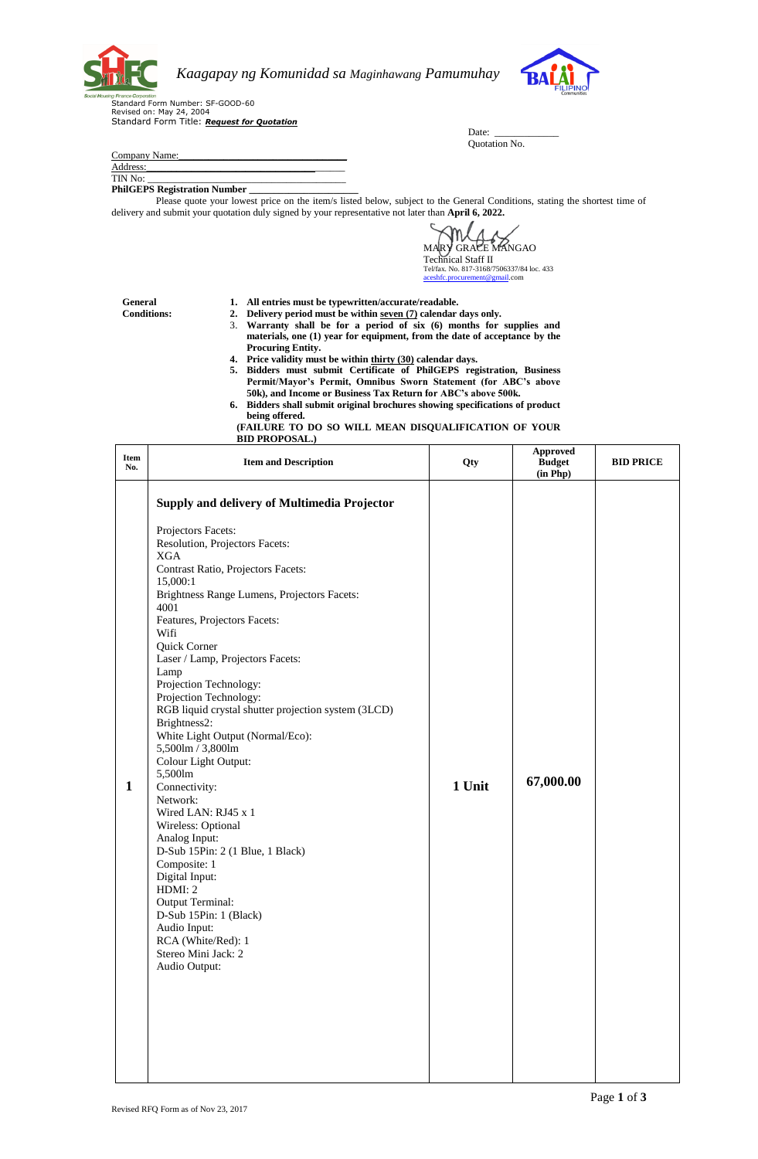

Address:

*Kaagapay ng Komunidad sa Maginhawang Pamumuhay* 



ヿ

Standard Form Number: SF-GOOD-60 Revised on: May 24, 2004 Standard Form Title: *Request for Quotation*

Company Name:

TIN No:

PhilGEPS Registration Number

Please quote your lowest price on the item/s listed below, subject to the General Conditions, stating the shortest time of delivery and submit your quotation duly signed by your representative not later than **April 6, 2022.**

MARY GRACE MANGAO Technical Staff II Tel/fax. No. 817-3168/7506337/84 loc. 433<br><u>aceshfc.procurement@gmail</u>.com

Date: Quotation No.

**General Conditions:** **1. All entries must be typewritten/accurate/readable.**

- **2. Delivery period must be within seven (7) calendar days only.**
- 3. **Warranty shall be for a period of six (6) months for supplies and materials, one (1) year for equipment, from the date of acceptance by the Procuring Entity.**
- **4. Price validity must be within thirty (30) calendar days.**
- **5. Bidders must submit Certificate of PhilGEPS registration, Business Permit/Mayor's Permit, Omnibus Sworn Statement (for ABC's above 50k), and Income or Business Tax Return for ABC's above 500k.**
- **6. Bidders shall submit original brochures showing specifications of product being offered.**
- **(FAILURE TO DO SO WILL MEAN DISQUALIFICATION OF YOUR BID PROPOSAL.)**  $\top$ **Approved**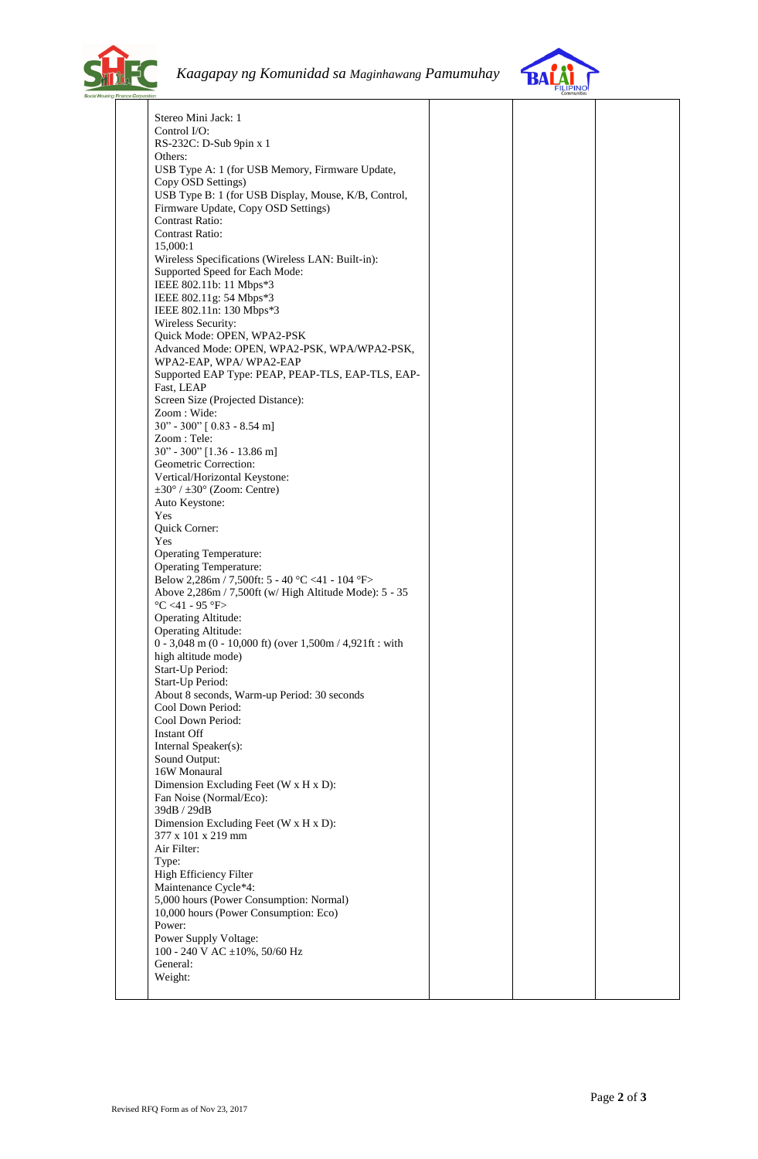



| Stereo Mini Jack: 1                                         |  |  |
|-------------------------------------------------------------|--|--|
| Control I/O:                                                |  |  |
| RS-232C: D-Sub 9pin x 1                                     |  |  |
| Others:                                                     |  |  |
|                                                             |  |  |
| USB Type A: 1 (for USB Memory, Firmware Update,             |  |  |
| Copy OSD Settings)                                          |  |  |
| USB Type B: 1 (for USB Display, Mouse, K/B, Control,        |  |  |
| Firmware Update, Copy OSD Settings)                         |  |  |
| <b>Contrast Ratio:</b>                                      |  |  |
| <b>Contrast Ratio:</b>                                      |  |  |
|                                                             |  |  |
| 15,000:1                                                    |  |  |
| Wireless Specifications (Wireless LAN: Built-in):           |  |  |
| Supported Speed for Each Mode:                              |  |  |
| IEEE 802.11b: 11 Mbps*3                                     |  |  |
| IEEE 802.11g: 54 Mbps*3                                     |  |  |
| IEEE 802.11n: 130 Mbps*3                                    |  |  |
| Wireless Security:                                          |  |  |
|                                                             |  |  |
| Quick Mode: OPEN, WPA2-PSK                                  |  |  |
| Advanced Mode: OPEN, WPA2-PSK, WPA/WPA2-PSK,                |  |  |
| WPA2-EAP, WPA/WPA2-EAP                                      |  |  |
| Supported EAP Type: PEAP, PEAP-TLS, EAP-TLS, EAP-           |  |  |
| Fast, LEAP                                                  |  |  |
| Screen Size (Projected Distance):                           |  |  |
| Zoom : Wide:                                                |  |  |
|                                                             |  |  |
| 30" - 300" [0.83 - 8.54 m]                                  |  |  |
| Zoom: Tele:                                                 |  |  |
| 30" - 300" [1.36 - 13.86 m]                                 |  |  |
| Geometric Correction:                                       |  |  |
| Vertical/Horizontal Keystone:                               |  |  |
| $\pm 30^{\circ}$ / $\pm 30^{\circ}$ (Zoom: Centre)          |  |  |
|                                                             |  |  |
| Auto Keystone:                                              |  |  |
| Yes                                                         |  |  |
| Quick Corner:                                               |  |  |
| Yes                                                         |  |  |
| <b>Operating Temperature:</b>                               |  |  |
| <b>Operating Temperature:</b>                               |  |  |
| Below 2,286m / 7,500ft: 5 - 40 °C <41 - 104 °F>             |  |  |
| Above 2,286m / 7,500ft (w/ High Altitude Mode): 5 - 35      |  |  |
|                                                             |  |  |
| $\textdegree C$ <41 - 95 $\textdegree F$ >                  |  |  |
| <b>Operating Altitude:</b>                                  |  |  |
| Operating Altitude:                                         |  |  |
| $0 - 3,048$ m (0 - 10,000 ft) (over 1,500m / 4,921ft : with |  |  |
| high altitude mode)                                         |  |  |
| Start-Up Period:                                            |  |  |
|                                                             |  |  |
| Start-Up Period:                                            |  |  |
| About 8 seconds, Warm-up Period: 30 seconds                 |  |  |
| Cool Down Period:                                           |  |  |
| Cool Down Period:                                           |  |  |
| <b>Instant Off</b>                                          |  |  |
| Internal Speaker(s):                                        |  |  |
|                                                             |  |  |
| Sound Output:                                               |  |  |
| 16W Monaural                                                |  |  |
| Dimension Excluding Feet (W x H x D):                       |  |  |
| Fan Noise (Normal/Eco):                                     |  |  |
| 39dB / 29dB                                                 |  |  |
| Dimension Excluding Feet (W x H x D):                       |  |  |
| 377 x 101 x 219 mm                                          |  |  |
| Air Filter:                                                 |  |  |
|                                                             |  |  |
| Type:                                                       |  |  |
| High Efficiency Filter                                      |  |  |
| Maintenance Cycle*4:                                        |  |  |
| 5,000 hours (Power Consumption: Normal)                     |  |  |
| 10,000 hours (Power Consumption: Eco)                       |  |  |
|                                                             |  |  |
| Power:                                                      |  |  |
| Power Supply Voltage:                                       |  |  |
| 100 - 240 V AC ±10%, 50/60 Hz                               |  |  |
|                                                             |  |  |
| General:                                                    |  |  |
| Weight:                                                     |  |  |